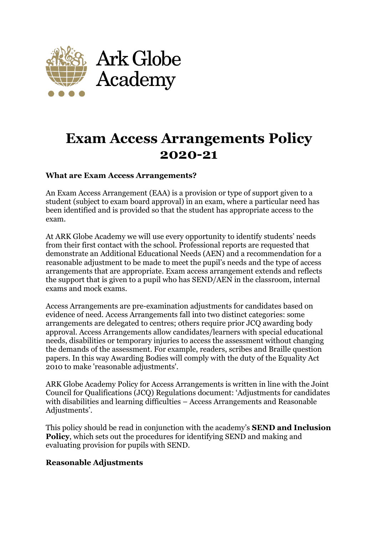

# **Exam Access Arrangements Policy 2020-21**

#### **What are Exam Access Arrangements?**

An Exam Access Arrangement (EAA) is a provision or type of support given to a student (subject to exam board approval) in an exam, where a particular need has been identified and is provided so that the student has appropriate access to the exam.

At ARK Globe Academy we will use every opportunity to identify students' needs from their first contact with the school. Professional reports are requested that demonstrate an Additional Educational Needs (AEN) and a recommendation for a reasonable adjustment to be made to meet the pupil's needs and the type of access arrangements that are appropriate. Exam access arrangement extends and reflects the support that is given to a pupil who has SEND/AEN in the classroom, internal exams and mock exams.

Access Arrangements are pre-examination adjustments for candidates based on evidence of need. Access Arrangements fall into two distinct categories: some arrangements are delegated to centres; others require prior JCQ awarding body approval. Access Arrangements allow candidates/learners with special educational needs, disabilities or temporary injuries to access the assessment without changing the demands of the assessment. For example, readers, scribes and Braille question papers. In this way Awarding Bodies will comply with the duty of the Equality Act 2010 to make 'reasonable adjustments'.

ARK Globe Academy Policy for Access Arrangements is written in line with the Joint Council for Qualifications (JCQ) Regulations document: 'Adjustments for candidates with disabilities and learning difficulties – Access Arrangements and Reasonable Adjustments'.

This policy should be read in conjunction with the academy's **SEND and Inclusion Policy**, which sets out the procedures for identifying SEND and making and evaluating provision for pupils with SEND.

#### **Reasonable Adjustments**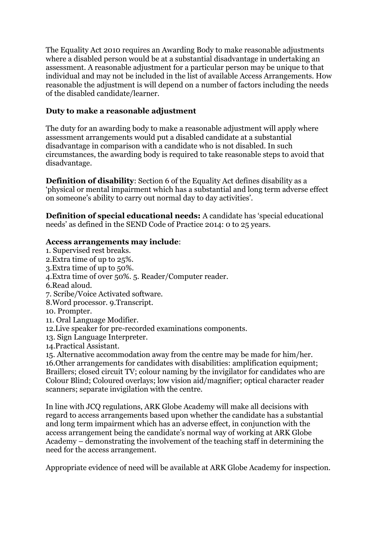The Equality Act 2010 requires an Awarding Body to make reasonable adjustments where a disabled person would be at a substantial disadvantage in undertaking an assessment. A reasonable adjustment for a particular person may be unique to that individual and may not be included in the list of available Access Arrangements. How reasonable the adjustment is will depend on a number of factors including the needs of the disabled candidate/learner.

### **Duty to make a reasonable adjustment**

The duty for an awarding body to make a reasonable adjustment will apply where assessment arrangements would put a disabled candidate at a substantial disadvantage in comparison with a candidate who is not disabled. In such circumstances, the awarding body is required to take reasonable steps to avoid that disadvantage.

**Definition of disability**: Section 6 of the Equality Act defines disability as a 'physical or mental impairment which has a substantial and long term adverse effect on someone's ability to carry out normal day to day activities'.

**Definition of special educational needs:** A candidate has 'special educational needs' as defined in the SEND Code of Practice 2014: 0 to 25 years.

#### **Access arrangements may include**:

- 1. Supervised rest breaks. 2.Extra time of up to 25%. 3.Extra time of up to 50%.
- 4.Extra time of over 50%. 5. Reader/Computer reader.
- 6.Read aloud.
- 7. Scribe/Voice Activated software.
- 8.Word processor. 9.Transcript.
- 10. Prompter.
- 11. Oral Language Modifier.
- 12.Live speaker for pre-recorded examinations components.
- 13. Sign Language Interpreter.
- 14.Practical Assistant.

15. Alternative accommodation away from the centre may be made for him/her. 16.Other arrangements for candidates with disabilities: amplification equipment; Braillers; closed circuit TV; colour naming by the invigilator for candidates who are

Colour Blind; Coloured overlays; low vision aid/magnifier; optical character reader scanners; separate invigilation with the centre.

In line with JCQ regulations, ARK Globe Academy will make all decisions with regard to access arrangements based upon whether the candidate has a substantial and long term impairment which has an adverse effect, in conjunction with the access arrangement being the candidate's normal way of working at ARK Globe Academy – demonstrating the involvement of the teaching staff in determining the need for the access arrangement.

Appropriate evidence of need will be available at ARK Globe Academy for inspection.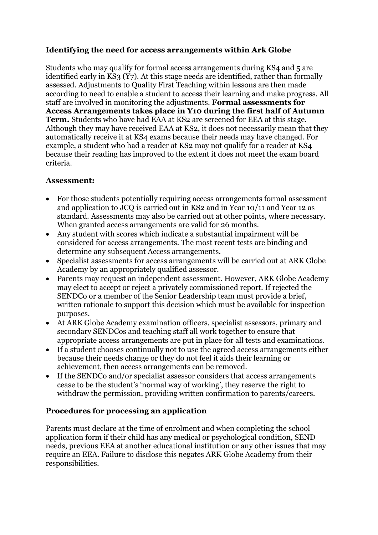## **Identifying the need for access arrangements within Ark Globe**

Students who may qualify for formal access arrangements during KS4 and 5 are identified early in KS3 (Y7). At this stage needs are identified, rather than formally assessed. Adjustments to Quality First Teaching within lessons are then made according to need to enable a student to access their learning and make progress. All staff are involved in monitoring the adjustments. **Formal assessments for Access Arrangements takes place in Y10 during the first half of Autumn Term.** Students who have had EAA at KS2 are screened for EEA at this stage. Although they may have received EAA at KS2, it does not necessarily mean that they automatically receive it at KS4 exams because their needs may have changed. For example, a student who had a reader at KS2 may not qualify for a reader at KS4 because their reading has improved to the extent it does not meet the exam board criteria.

## **Assessment:**

- For those students potentially requiring access arrangements formal assessment and application to JCQ is carried out in KS2 and in Year 10/11 and Year 12 as standard. Assessments may also be carried out at other points, where necessary. When granted access arrangements are valid for 26 months.
- Any student with scores which indicate a substantial impairment will be considered for access arrangements. The most recent tests are binding and determine any subsequent Access arrangements.
- Specialist assessments for access arrangements will be carried out at ARK Globe Academy by an appropriately qualified assessor.
- Parents may request an independent assessment. However, ARK Globe Academy may elect to accept or reject a privately commissioned report. If rejected the SENDCo or a member of the Senior Leadership team must provide a brief, written rationale to support this decision which must be available for inspection purposes.
- At ARK Globe Academy examination officers, specialist assessors, primary and secondary SENDCos and teaching staff all work together to ensure that appropriate access arrangements are put in place for all tests and examinations.
- If a student chooses continually not to use the agreed access arrangements either because their needs change or they do not feel it aids their learning or achievement, then access arrangements can be removed.
- If the SENDCo and/or specialist assessor considers that access arrangements cease to be the student's 'normal way of working', they reserve the right to withdraw the permission, providing written confirmation to parents/careers.

#### **Procedures for processing an application**

Parents must declare at the time of enrolment and when completing the school application form if their child has any medical or psychological condition, SEND needs, previous EEA at another educational institution or any other issues that may require an EEA. Failure to disclose this negates ARK Globe Academy from their responsibilities.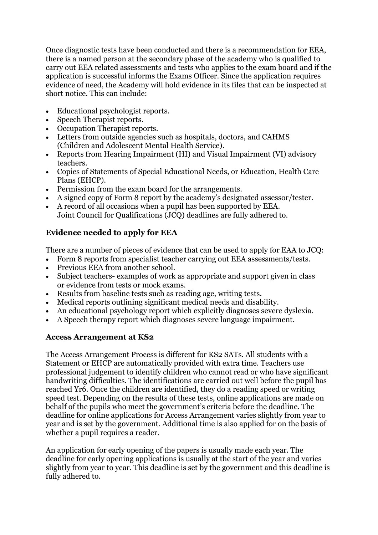Once diagnostic tests have been conducted and there is a recommendation for EEA, there is a named person at the secondary phase of the academy who is qualified to carry out EEA related assessments and tests who applies to the exam board and if the application is successful informs the Exams Officer. Since the application requires evidence of need, the Academy will hold evidence in its files that can be inspected at short notice. This can include:

- Educational psychologist reports.
- Speech Therapist reports.
- Occupation Therapist reports.
- Letters from outside agencies such as hospitals, doctors, and CAHMS (Children and Adolescent Mental Health Service).
- Reports from Hearing Impairment (HI) and Visual Impairment (VI) advisory teachers.
- Copies of Statements of Special Educational Needs, or Education, Health Care Plans (EHCP).
- Permission from the exam board for the arrangements.
- A signed copy of Form 8 report by the academy's designated assessor/tester.
- A record of all occasions when a pupil has been supported by EEA. Joint Council for Qualifications (JCQ) deadlines are fully adhered to.

# **Evidence needed to apply for EEA**

There are a number of pieces of evidence that can be used to apply for EAA to JCQ:

- Form 8 reports from specialist teacher carrying out EEA assessments/tests.
- Previous EEA from another school.
- Subject teachers- examples of work as appropriate and support given in class or evidence from tests or mock exams.
- Results from baseline tests such as reading age, writing tests.
- Medical reports outlining significant medical needs and disability.
- An educational psychology report which explicitly diagnoses severe dyslexia.
- A Speech therapy report which diagnoses severe language impairment.

#### **Access Arrangement at KS2**

The Access Arrangement Process is different for KS2 SATs. All students with a Statement or EHCP are automatically provided with extra time. Teachers use professional judgement to identify children who cannot read or who have significant handwriting difficulties. The identifications are carried out well before the pupil has reached Yr6. Once the children are identified, they do a reading speed or writing speed test. Depending on the results of these tests, online applications are made on behalf of the pupils who meet the government's criteria before the deadline. The deadline for online applications for Access Arrangement varies slightly from year to year and is set by the government. Additional time is also applied for on the basis of whether a pupil requires a reader.

An application for early opening of the papers is usually made each year. The deadline for early opening applications is usually at the start of the year and varies slightly from year to year. This deadline is set by the government and this deadline is fully adhered to.